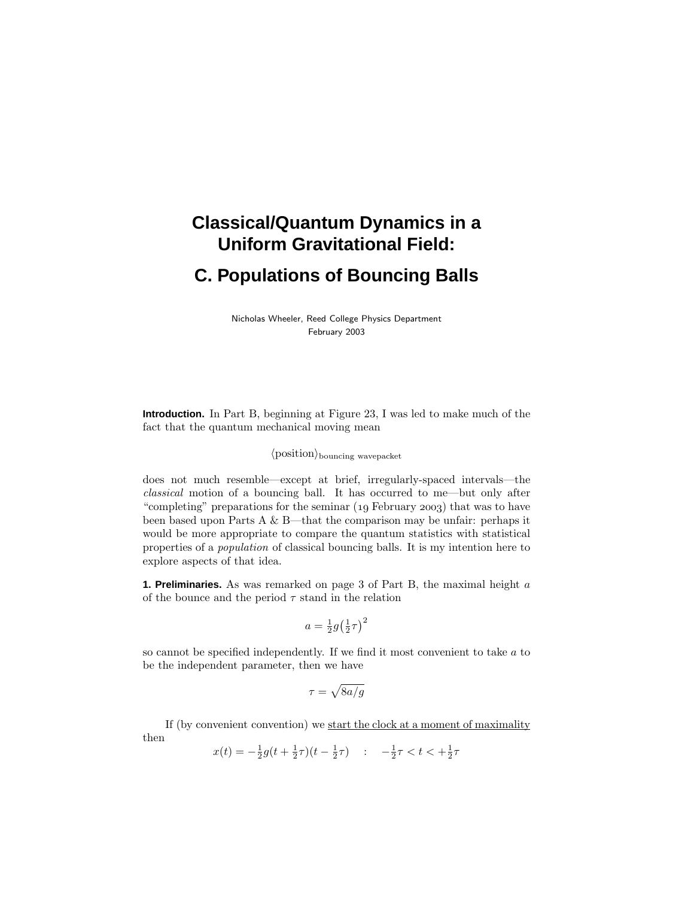# **Classical/Quantum Dynamics in a Uniform Gravitational Field: C. Populations of Bouncing Balls**

Nicholas Wheeler, Reed College Physics Department February 2003

**Introduction.** In Part B, beginning at Figure 23, I was led to make much of the fact that the quantum mechanical moving mean

# $\langle$  position $\rangle$ <sub>bouncing</sub> wavepacket

does not much resemble—except at brief, irregularly-spaced intervals—the classical motion of a bouncing ball. It has occurred to me—but only after "completing" preparations for the seminar  $(19$  February 2003) that was to have been based upon Parts A & B—that the comparison may be unfair: perhaps it would be more appropriate to compare the quantum statistics with statistical properties of a population of classical bouncing balls. It is my intention here to explore aspects of that idea.

**1. Preliminaries.** As was remarked on page 3 of Part B, the maximal height *a* of the bounce and the period  $\tau$  stand in the relation

$$
a = \frac{1}{2}g\left(\frac{1}{2}\tau\right)^2
$$

so cannot be specified independently. If we find it most convenient to take *a* to be the independent parameter, then we have

$$
\tau=\sqrt{8a/g}
$$

If (by convenient convention) we start the clock at a moment of maximality then

$$
x(t) = -\frac{1}{2}g(t + \frac{1}{2}\tau)(t - \frac{1}{2}\tau) \quad : \quad -\frac{1}{2}\tau < t < +\frac{1}{2}\tau
$$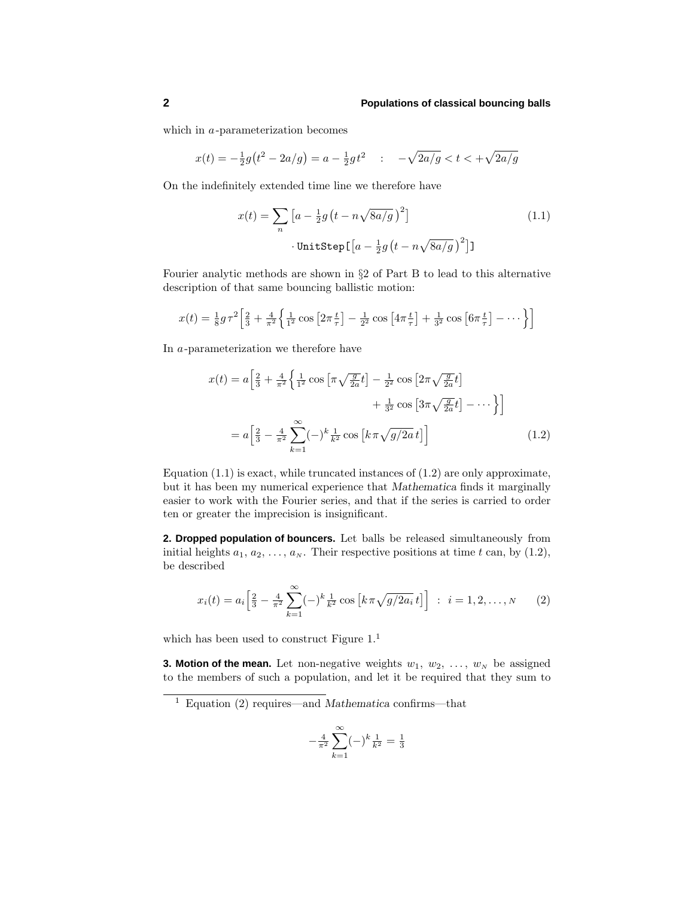which in *a*-parameterization becomes

$$
x(t) = -\frac{1}{2}g(t^2 - 2a/g) = a - \frac{1}{2}gt^2 \quad : \quad -\sqrt{2a/g} < t < +\sqrt{2a/g}
$$

On the indefinitely extended time line we therefore have

$$
x(t) = \sum_{n} \left[ a - \frac{1}{2} g \left( t - n \sqrt{8a/g} \right)^2 \right]
$$
  
• 
$$
\text{UnitStep} \left[ a - \frac{1}{2} g \left( t - n \sqrt{8a/g} \right)^2 \right]
$$
 (1.1)

Fourier analytic methods are shown in §2 of Part B to lead to this alternative description of that same bouncing ballistic motion:

$$
x(t) = \frac{1}{8}g\tau^2 \left[ \frac{2}{3} + \frac{4}{\pi^2} \left\{ \frac{1}{1^2} \cos \left[ 2\pi \frac{t}{\tau} \right] - \frac{1}{2^2} \cos \left[ 4\pi \frac{t}{\tau} \right] + \frac{1}{3^2} \cos \left[ 6\pi \frac{t}{\tau} \right] - \dots \right\} \right]
$$

In *a*-parameterization we therefore have

$$
x(t) = a \left[ \frac{2}{3} + \frac{4}{\pi^2} \left\{ \frac{1}{1^2} \cos \left[ \pi \sqrt{\frac{g}{2a}} t \right] - \frac{1}{2^2} \cos \left[ 2\pi \sqrt{\frac{g}{2a}} t \right] + \frac{1}{3^2} \cos \left[ 3\pi \sqrt{\frac{g}{2a}} t \right] - \cdots \right\} \right]
$$
  
=  $a \left[ \frac{2}{3} - \frac{4}{\pi^2} \sum_{k=1}^{\infty} (-)^k \frac{1}{k^2} \cos \left[ k \pi \sqrt{g/2a} t \right] \right]$  (1.2)

Equation  $(1.1)$  is exact, while truncated instances of  $(1.2)$  are only approximate, but it has been my numerical experience that *Mathematica* finds it marginally easier to work with the Fourier series, and that if the series is carried to order ten or greater the imprecision is insignificant.

**2. Dropped population of bouncers.** Let balls be released simultaneously from initial heights  $a_1, a_2, \ldots, a_N$ . Their respective positions at time *t* can, by (1.2), be described

$$
x_i(t) = a_i \left[ \frac{2}{3} - \frac{4}{\pi^2} \sum_{k=1}^{\infty} (-)^k \frac{1}{k^2} \cos \left[ k \pi \sqrt{g/2a_i} t \right] \right] : i = 1, 2, \dots, N
$$
 (2)

which has been used to construct Figure  $1<sup>1</sup>$ 

**3. Motion of the mean.** Let non-negative weights  $w_1, w_2, \ldots, w_N$  be assigned to the members of such a population, and let it be required that they sum to

$$
-\frac{4}{\pi^2} \sum_{k=1}^{\infty} (-)^k \frac{1}{k^2} = \frac{1}{3}
$$

<sup>1</sup> Equation (2) requires—and *Mathematica* confirms—that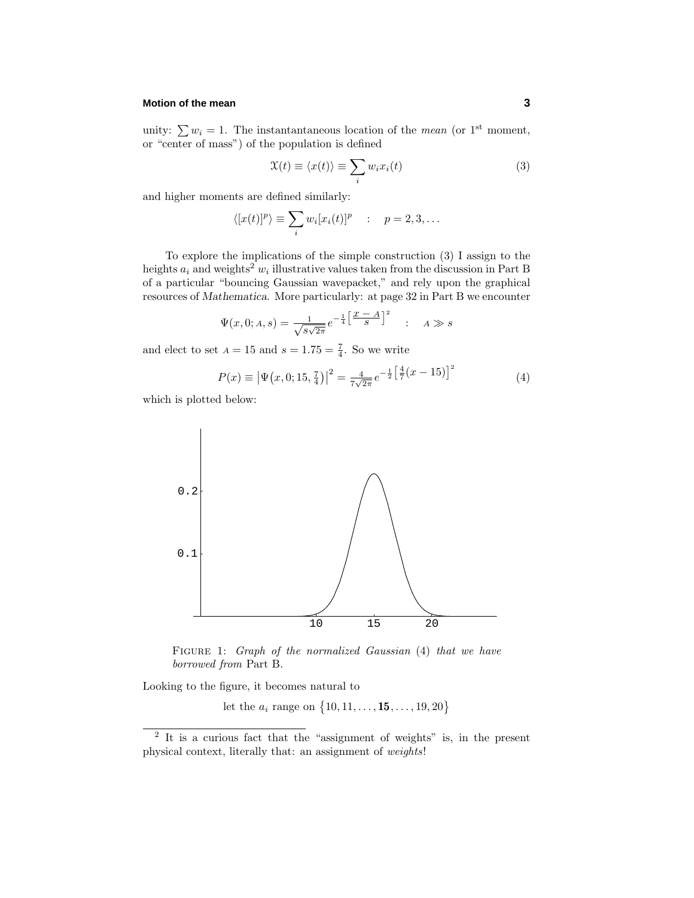#### **Motion of the mean** 3

unity:  $\sum w_i = 1$ . The instantantaneous location of the *mean* (or 1<sup>st</sup> moment, or "center of mass") of the population is defined

$$
\mathfrak{X}(t) \equiv \langle x(t) \rangle \equiv \sum_{i} w_i x_i(t) \tag{3}
$$

and higher moments are defined similarly:

$$
\langle [x(t)]^p \rangle \equiv \sum_i w_i [x_i(t)]^p \quad : \quad p = 2, 3, \dots
$$

To explore the implications of the simple construction (3) I assign to the heights  $a_i$  and weights<sup>2</sup>  $w_i$  illustrative values taken from the discussion in Part B of a particular "bouncing Gaussian wavepacket," and rely upon the graphical resources of *Mathematica*. More particularly: at page 32 in Part B we encounter

$$
\Psi(x,0; A, s) = \frac{1}{\sqrt{s\sqrt{2\pi}}} e^{-\frac{1}{4} \left[ \frac{x - A}{S} \right]^2} \quad : \quad A \gg s
$$

and elect to set  $A = 15$  and  $s = 1.75 = \frac{7}{4}$ . So we write

$$
P(x) \equiv |\Psi(x, 0; 15, \frac{7}{4})|^2 = \frac{4}{7\sqrt{2\pi}} e^{-\frac{1}{2} \left[\frac{4}{7}(x - 15)\right]^2}
$$
(4)

which is plotted below:



FIGURE 1: Graph of the normalized Gaussian (4) that we have borrowed from Part B.

Looking to the figure, it becomes natural to

let the  $a_i$  range on  $\{10, 11, \ldots, 15, \ldots, 19, 20\}$ 

<sup>2</sup> It is a curious fact that the "assignment of weights" is, in the present physical context, literally that: an assignment of weights!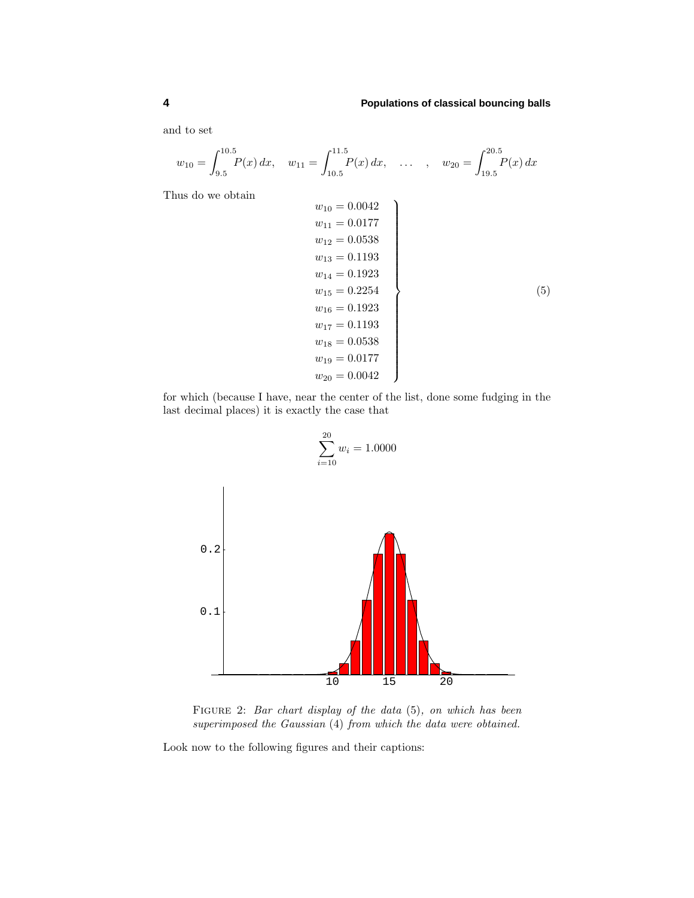and to set

$$
w_{10} = \int_{9.5}^{10.5} P(x) dx
$$
,  $w_{11} = \int_{10.5}^{11.5} P(x) dx$ , ...,  $w_{20} = \int_{19.5}^{20.5} P(x) dx$ 

Thus do we obtain

$$
w_{10} = 0.0042
$$
  
\n
$$
w_{11} = 0.0177
$$
  
\n
$$
w_{12} = 0.0538
$$
  
\n
$$
w_{13} = 0.1193
$$
  
\n
$$
w_{14} = 0.1923
$$
  
\n
$$
w_{15} = 0.2254
$$
  
\n
$$
w_{16} = 0.1923
$$
  
\n
$$
w_{17} = 0.1193
$$
  
\n
$$
w_{18} = 0.0538
$$
  
\n
$$
w_{19} = 0.0177
$$
  
\n
$$
w_{20} = 0.0042
$$
  
\n(5)

for which (because I have, near the center of the list, done some fudging in the last decimal places) it is exactly the case that

$$
\sum_{i=10}^{20} w_i = 1.0000
$$
\n  
\n0.2\n  
\n0.1\n  
\n10\n  
\n15\n  
\n20

FIGURE 2: Bar chart display of the data  $(5)$ , on which has been superimposed the Gaussian (4) from which the data were obtained.

Look now to the following figures and their captions: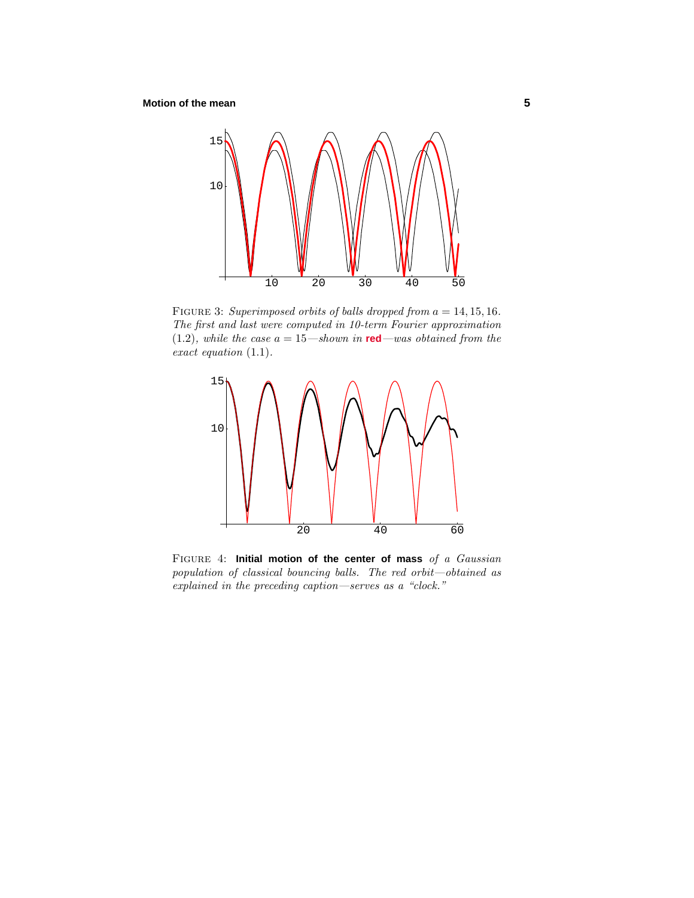## **Motion of the mean 5**



FIGURE 3: Superimposed orbits of balls dropped from  $a = 14, 15, 16$ . The first and last were computed in 10-term Fourier approximation  $(1.2)$ , while the case  $a = 15$ —shown in **red**—was obtained from the exact equation (1*.*1).



Figure 4: **Initial motion of the center of mass** of a Gaussian population of classical bouncing balls. The red orbit—obtained as explained in the preceding caption—serves as a "clock."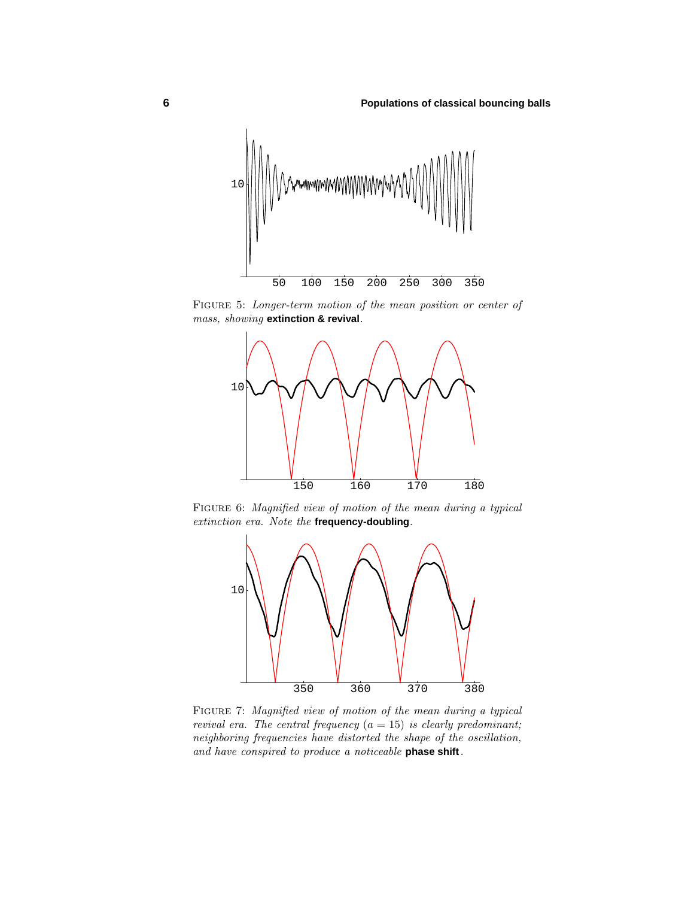

FIGURE 5: Longer-term motion of the mean position or center of mass, showing **extinction & revival**.



FIGURE 6: Magnified view of motion of the mean during a typical extinction era. Note the **frequency-doubling**.



Figure 7: Magnified view of motion of the mean during a typical revival era. The central frequency  $(a = 15)$  is clearly predominant; neighboring frequencies have distorted the shape of the oscillation, and have conspired to produce a noticeable **phase shift**.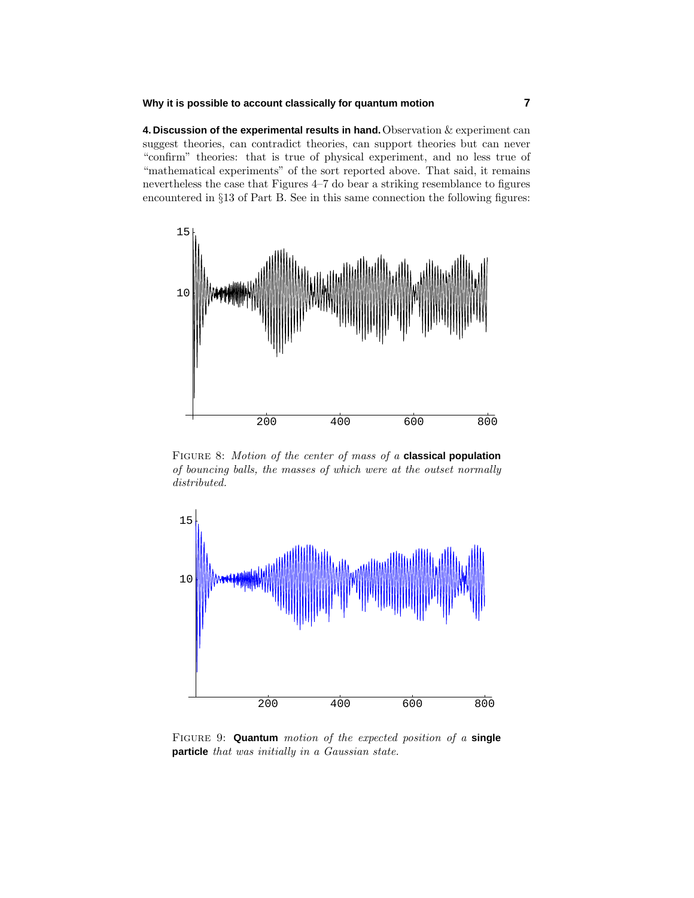#### **Why it is possible to account classically for quantum motion 7**

**4. Discussion of the experimental results in hand.**Observation & experiment can suggest theories, can contradict theories, can support theories but can never "confirm" theories: that is true of physical experiment, and no less true of "mathematical experiments" of the sort reported above. That said, it remains nevertheless the case that Figures 4–7 do bear a striking resemblance to figures encountered in §13 of Part B. See in this same connection the following figures:



Figure 8: Motion of the center of mass of a **classical population** of bouncing balls, the masses of which were at the outset normally distributed.



Figure 9: **Quantum** motion of the expected position of a **single particle** that was initially in a Gaussian state.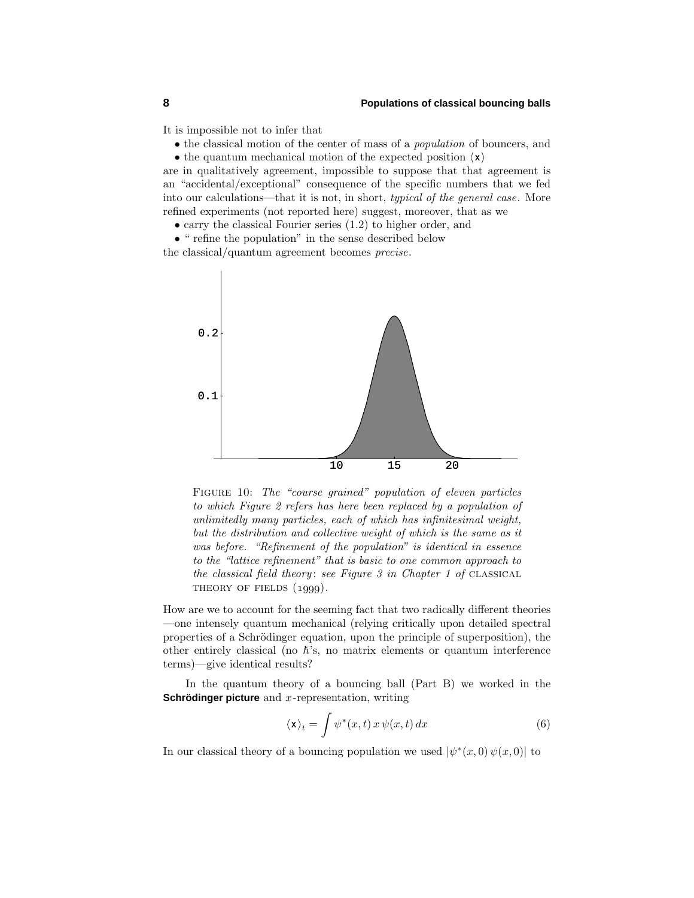It is impossible not to infer that

• the classical motion of the center of mass of a population of bouncers, and

• the quantum mechanical motion of the expected position  $\langle \mathbf{x} \rangle$ 

are in qualitatively agreement, impossible to suppose that that agreement is an "accidental/exceptional" consequence of the specific numbers that we fed into our calculations—that it is not, in short, typical of the general case. More refined experiments (not reported here) suggest, moreover, that as we

• carry the classical Fourier series (1.2) to higher order, and

• " refine the population" in the sense described below the classical/quantum agreement becomes precise.



FIGURE 10: The "course grained" population of eleven particles to which Figure 2 refers has here been replaced by a population of unlimitedly many particles, each of which has infinitesimal weight, but the distribution and collective weight of which is the same as it was before. "Refinement of the population" is identical in essence to the "lattice refinement" that is basic to one common approach to the classical field theory: see Figure  $3$  in Chapter 1 of CLASSICAL THEORY OF FIELDS  $(1999)$ .

How are we to account for the seeming fact that two radically different theories —one intensely quantum mechanical (relying critically upon detailed spectral properties of a Schrödinger equation, upon the principle of superposition), the other entirely classical (no  $\hbar$ 's, no matrix elements or quantum interference terms)—give identical results?

In the quantum theory of a bouncing ball (Part B) we worked in the **Schrödinger picture** and *x*-representation, writing

$$
\langle \mathbf{x} \rangle_t = \int \psi^*(x, t) \, x \, \psi(x, t) \, dx \tag{6}
$$

In our classical theory of a bouncing population we used  $|\psi^*(x,0)\psi(x,0)|$  to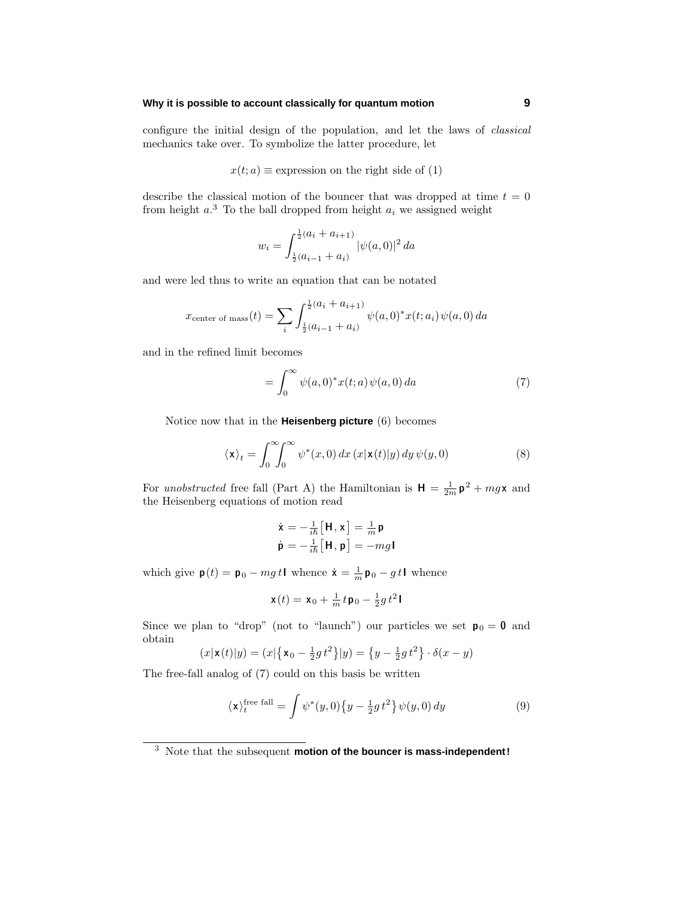#### **Why it is possible to account classically for quantum motion 9**

configure the initial design of the population, and let the laws of classical mechanics take over. To symbolize the latter procedure, let

$$
x(t; a) \equiv
$$
 expression on the right side of (1)

describe the classical motion of the bouncer that was dropped at time  $t = 0$ from height  $a^3$ . To the ball dropped from height  $a_i$  we assigned weight

$$
w_i = \int_{\frac{1}{2}(a_{i-1} + a_i)}^{\frac{1}{2}(a_i + a_{i+1})} |\psi(a, 0)|^2 da
$$

and were led thus to write an equation that can be notated

$$
x_{\text{center of mass}}(t) = \sum_{i} \int_{\frac{1}{2}(a_{i-1} + a_i)}^{\frac{1}{2}(a_i + a_{i+1})} \psi(a,0)^* x(t; a_i) \psi(a,0) \, da
$$

and in the refined limit becomes

$$
=\int_0^\infty \psi(a,0)^*x(t;a)\psi(a,0) da\tag{7}
$$

Notice now that in the **Heisenberg picture** (6) becomes

$$
\langle \mathbf{x} \rangle_t = \int_0^\infty \int_0^\infty \psi^*(x,0) \, dx \, (x|\mathbf{x}(t)|y) \, dy \, \psi(y,0) \tag{8}
$$

For unobstructed free fall (Part A) the Hamiltonian is  $H = \frac{1}{2m} p^2 + mgx$  and the Heisenberg equations of motion read

$$
\dot{\mathbf{x}} = -\frac{1}{i\hbar} [\mathbf{H}, \mathbf{x}] = \frac{1}{m} \mathbf{p}
$$
\n
$$
\dot{\mathbf{p}} = -\frac{1}{i\hbar} [\mathbf{H}, \mathbf{p}] = -mg\mathbf{I}
$$

which give  $\mathbf{p}(t) = \mathbf{p}_0 - mg t \mathbf{I}$  whence  $\dot{\mathbf{x}} = \frac{1}{m} \mathbf{p}_0 - gt \mathbf{I}$  whence

$$
\mathbf{x}(t)=\mathbf{x}_0+\tfrac{1}{m}\,t\,\mathbf{p}_0-\tfrac{1}{2}g\,t^2\,\mathbf{I}
$$

Since we plan to "drop" (not to "launch") our particles we set  $p_0 = 0$  and obtain

$$
(x|\mathbf{x}(t)|y) = (x|\{\mathbf{x}_0 - \frac{1}{2}gt^2\}|y) = \{y - \frac{1}{2}gt^2\} \cdot \delta(x - y)
$$

The free-fall analog of (7) could on this basis be written

$$
\langle \mathbf{x} \rangle_t^{\text{free fall}} = \int \psi^*(y, 0) \{ y - \frac{1}{2} g t^2 \} \psi(y, 0) dy \tag{9}
$$

<sup>3</sup> Note that the subsequent **motion of the bouncer is mass-independent!**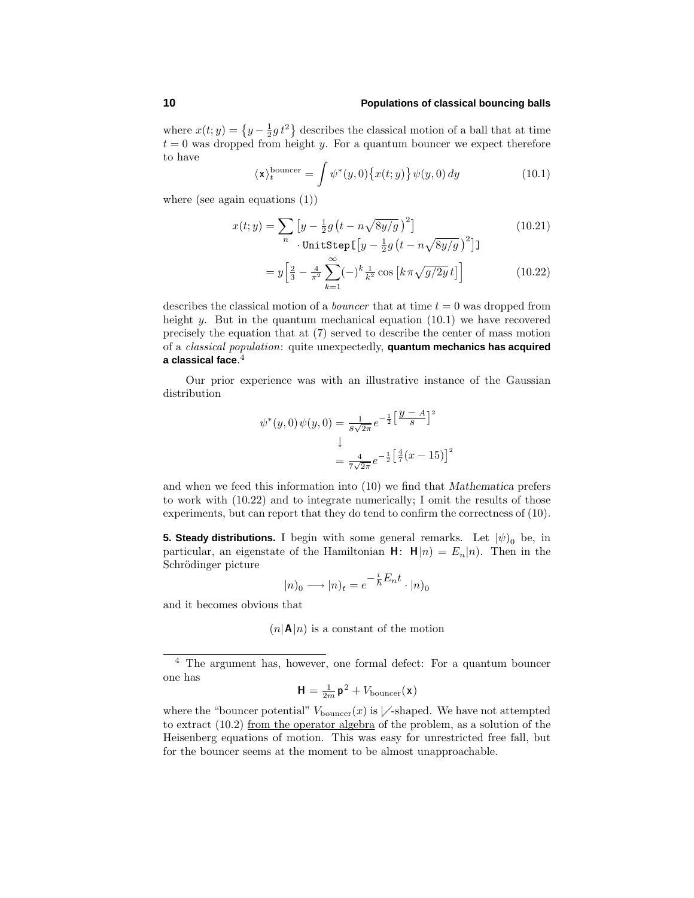where  $x(t; y) = \left\{y - \frac{1}{2}gt^2\right\}$  describes the classical motion of a ball that at time  $t = 0$  was dropped from height *y*. For a quantum bouncer we expect therefore to have

$$
\langle \mathbf{x} \rangle_t^{\text{bounce}} = \int \psi^*(y, 0) \{ x(t; y) \} \psi(y, 0) \, dy \tag{10.1}
$$

where (see again equations (1))

$$
x(t; y) = \sum_{n} \left[ y - \frac{1}{2}g\left(t - n\sqrt{8y/g}\right)^2 \right]
$$
\n
$$
\text{UnitStep}\left[ y - \frac{1}{2}g\left(t - n\sqrt{8y/g}\right)^2 \right]
$$
\n
$$
(10.21)
$$

$$
= y \left[ \frac{2}{3} - \frac{4}{\pi^2} \sum_{k=1}^{\infty} (-)^k \frac{1}{k^2} \cos \left[ k \pi \sqrt{g/2y} \, t \right] \right] \tag{10.22}
$$

describes the classical motion of a bouncer that at time *t* = 0 was dropped from height *y*. But in the quantum mechanical equation (10.1) we have recovered precisely the equation that at (7) served to describe the center of mass motion of a classical population: quite unexpectedly, **quantum mechanics has acquired a classical face**. 4

Our prior experience was with an illustrative instance of the Gaussian distribution

$$
\psi^*(y,0)\psi(y,0) = \frac{1}{s\sqrt{2\pi}}e^{-\frac{1}{2}\left[\frac{y-A}{s}\right]^2}
$$

$$
= \frac{4}{7\sqrt{2\pi}}e^{-\frac{1}{2}\left[\frac{4}{7}(x-15)\right]^2}
$$

and when we feed this information into (10) we find that *Mathematica* prefers to work with (10.22) and to integrate numerically; I omit the results of those experiments, but can report that they do tend to confirm the correctness of (10).

**5. Steady distributions.** I begin with some general remarks. Let  $|\psi|_0$  be, in particular, an eigenstate of the Hamiltonian  $H: H|n) = E_n|n$ . Then in the Schrödinger picture

$$
|n)_0 \longrightarrow |n)_t = e^{-\frac{i}{\hbar}E_n t} \cdot |n)_0
$$

and it becomes obvious that

 $(n|\mathbf{A}|n)$  is a constant of the motion

<sup>4</sup> The argument has, however, one formal defect: For a quantum bouncer one has

$$
\mathbf{H} = \frac{1}{2m} \mathbf{p}^2 + V_{\text{bounce}}(\mathbf{x})
$$

where the "bouncer potential"  $V_{\text{bounce}}(x)$  is  $\nearrow$ -shaped. We have not attempted to extract (10.2) from the operator algebra of the problem, as a solution of the Heisenberg equations of motion. This was easy for unrestricted free fall, but for the bouncer seems at the moment to be almost unapproachable.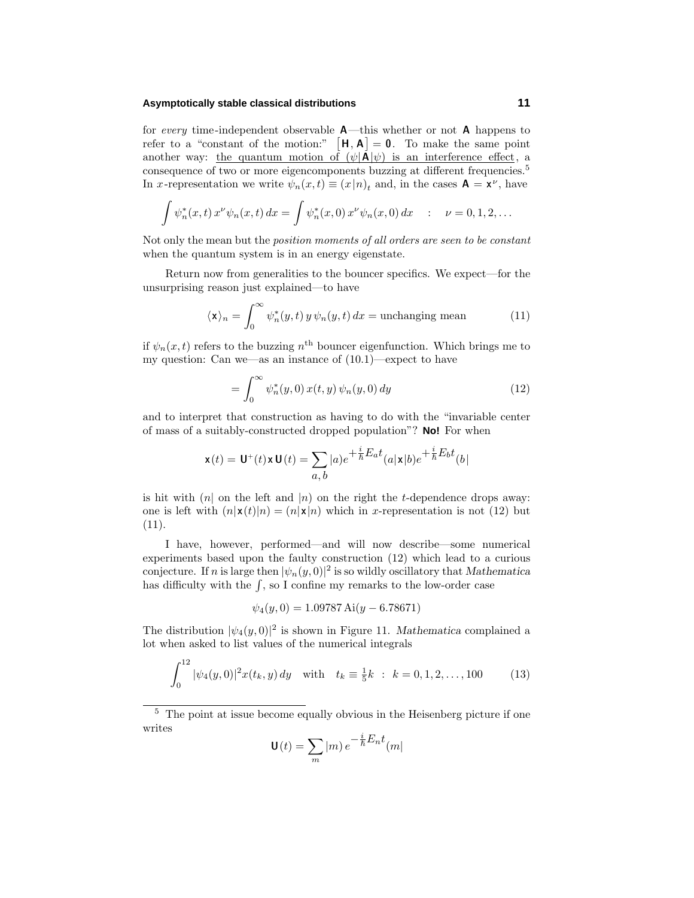#### **Asymptotically stable classical distributions 11**

for every time-independent observable **A**—this whether or not **A** happens to refer to a "constant of the motion:"  $\mathbf{H}, \mathbf{A}$  = 0. To make the same point another way: <u>the quantum motion of  $(\psi | \mathbf{A} | \psi)$  is an interference effect, a</u> consequence of two or more eigencomponents buzzing at different frequencies.<sup>5</sup> In *x*-representation we write  $\psi_n(x,t) \equiv (x|n)_t$  and, in the cases  $\mathbf{A} = \mathbf{x}^{\nu}$ , have

$$
\int \psi_n^*(x,t) \, x^{\nu} \psi_n(x,t) \, dx = \int \psi_n^*(x,0) \, x^{\nu} \psi_n(x,0) \, dx \quad : \quad \nu = 0, 1, 2, \dots
$$

Not only the mean but the position moments of all orders are seen to be constant when the quantum system is in an energy eigenstate.

Return now from generalities to the bouncer specifics. We expect—for the unsurprising reason just explained—to have

$$
\langle \mathbf{x} \rangle_n = \int_0^\infty \psi_n^*(y, t) \, y \, \psi_n(y, t) \, dx = \text{unchanging mean} \tag{11}
$$

if  $\psi_n(x,t)$  refers to the buzzing  $n^{\text{th}}$  bouncer eigenfunction. Which brings me to my question: Can we—as an instance of (10.1)—expect to have

$$
= \int_0^\infty \psi_n^*(y,0) \, x(t,y) \, \psi_n(y,0) \, dy \tag{12}
$$

and to interpret that construction as having to do with the "invariable center of mass of a suitably-constructed dropped population"? **No!** For when

$$
\mathbf{x}(t) = \mathbf{U}^+(t)\mathbf{x}\,\mathbf{U}(t) = \sum_{a,\,b}|a)e^{+\frac{i}{\hbar}E_a t}(a|\mathbf{x}|b)e^{+\frac{i}{\hbar}E_b t}(b)
$$

is hit with  $(n)$  on the left and  $|n)$  on the right the *t*-dependence drops away: one is left with  $(n|\mathbf{x}(t)|n) = (n|\mathbf{x}|n)$  which in *x*-representation is not (12) but (11).

I have, however, performed—and will now describe—some numerical experiments based upon the faulty construction (12) which lead to a curious conjecture. If *n* is large then  $|\psi_n(y,0)|^2$  is so wildly oscillatory that *Mathematica* has difficulty with the  $\int$ , so I confine my remarks to the low-order case

$$
\psi_4(y,0) = 1.09787 \,\mathrm{Ai}(y - 6.78671)
$$

The distribution  $|\psi_4(y,0)|^2$  is shown in Figure 11. *Mathematica* complained a lot when asked to list values of the numerical integrals

$$
\int_0^{12} |\psi_4(y,0)|^2 x(t_k, y) dy \quad \text{with} \quad t_k \equiv \frac{1}{5}k \; : \; k = 0, 1, 2, \dots, 100 \tag{13}
$$

$$
\mathbf{U}(t) = \sum_{m} |m| e^{-\frac{i}{\hbar} E_n t} (m|
$$

 $^5\,$  The point at issue become equally obvious in the Heisenberg picture if one writes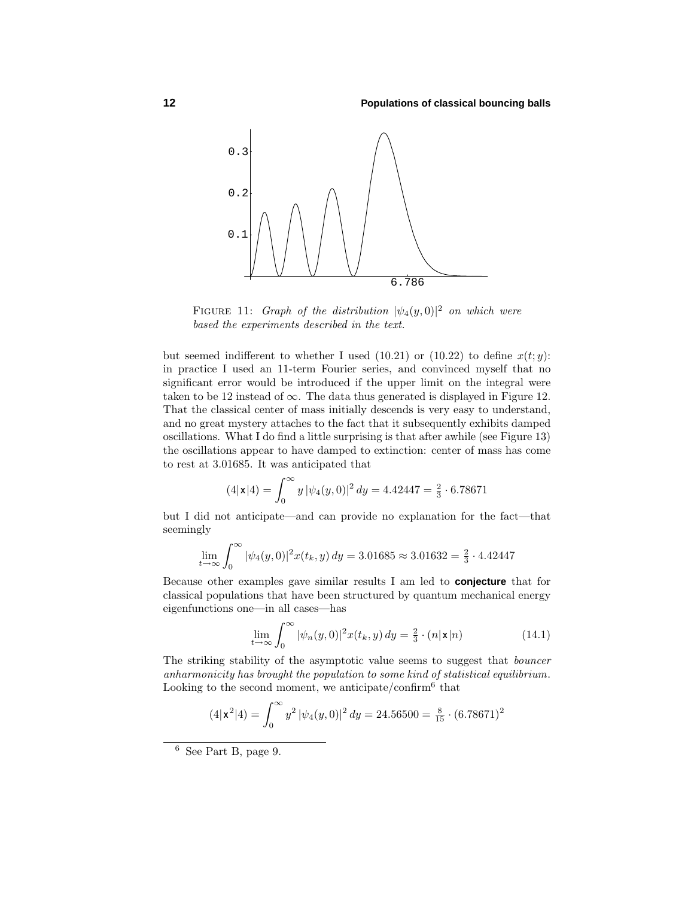

FIGURE 11: Graph of the distribution  $|\psi_4(y,0)|^2$  on which were based the experiments described in the text.

but seemed indifferent to whether I used (10.21) or (10.22) to define  $x(t; y)$ : in practice I used an 11-term Fourier series, and convinced myself that no significant error would be introduced if the upper limit on the integral were taken to be 12 instead of  $\infty$ . The data thus generated is displayed in Figure 12. That the classical center of mass initially descends is very easy to understand, and no great mystery attaches to the fact that it subsequently exhibits damped oscillations. What I do find a little surprising is that after awhile (see Figure 13) the oscillations appear to have damped to extinction: center of mass has come to rest at 3.01685. It was anticipated that

$$
(4|\mathbf{x}|4) = \int_0^\infty y \, |\psi_4(y,0)|^2 \, dy = 4.42447 = \frac{2}{3} \cdot 6.78671
$$

but I did not anticipate—and can provide no explanation for the fact—that seemingly

$$
\lim_{t \to \infty} \int_0^{\infty} |\psi_4(y, 0)|^2 x(t_k, y) dy = 3.01685 \approx 3.01632 = \frac{2}{3} \cdot 4.42447
$$

Because other examples gave similar results I am led to **conjecture** that for classical populations that have been structured by quantum mechanical energy eigenfunctions one—in all cases—has

$$
\lim_{t \to \infty} \int_0^{\infty} |\psi_n(y, 0)|^2 x(t_k, y) dy = \frac{2}{3} \cdot (n |{\bf x}| n)
$$
 (14.1)

The striking stability of the asymptotic value seems to suggest that bouncer anharmonicity has brought the population to some kind of statistical equilibrium. Looking to the second moment, we anticipate/confirm<sup>6</sup> that

$$
(4|\mathbf{x}^2|4) = \int_0^\infty y^2 |\psi_4(y,0)|^2 dy = 24.56500 = \frac{8}{15} \cdot (6.78671)^2
$$

<sup>6</sup> See Part B, page 9.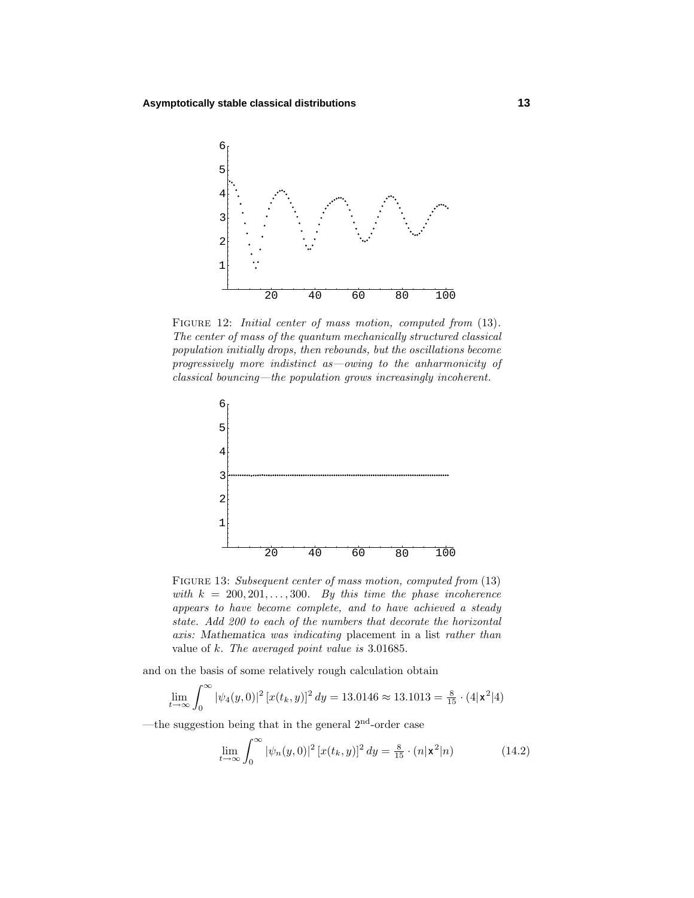

FIGURE 12: *Initial center of mass motion, computed from* (13). The center of mass of the quantum mechanically structured classical population initially drops, then rebounds, but the oscillations become progressively more indistinct as—owing to the anharmonicity of classical bouncing—the population grows increasingly incoherent.



FIGURE 13: Subsequent center of mass motion, computed from  $(13)$ with  $k = 200, 201, \ldots, 300$ . By this time the phase incoherence appears to have become complete, and to have achieved a steady state. Add 200 to each of the numbers that decorate the horizontal axis: *Mathematica* was indicating placement in a list rather than value of *k*. The averaged point value is 3.01685.

and on the basis of some relatively rough calculation obtain

$$
\lim_{t \to \infty} \int_0^{\infty} |\psi_4(y, 0)|^2 [x(t_k, y)]^2 dy = 13.0146 \approx 13.1013 = \frac{8}{15} \cdot (4|\mathbf{x}^2|4)
$$

—the suggestion being that in the general  $2<sup>nd</sup>$ -order case

$$
\lim_{t \to \infty} \int_0^\infty |\psi_n(y, 0)|^2 [x(t_k, y)]^2 dy = \frac{8}{15} \cdot (n | \mathbf{x}^2 | n)
$$
 (14.2)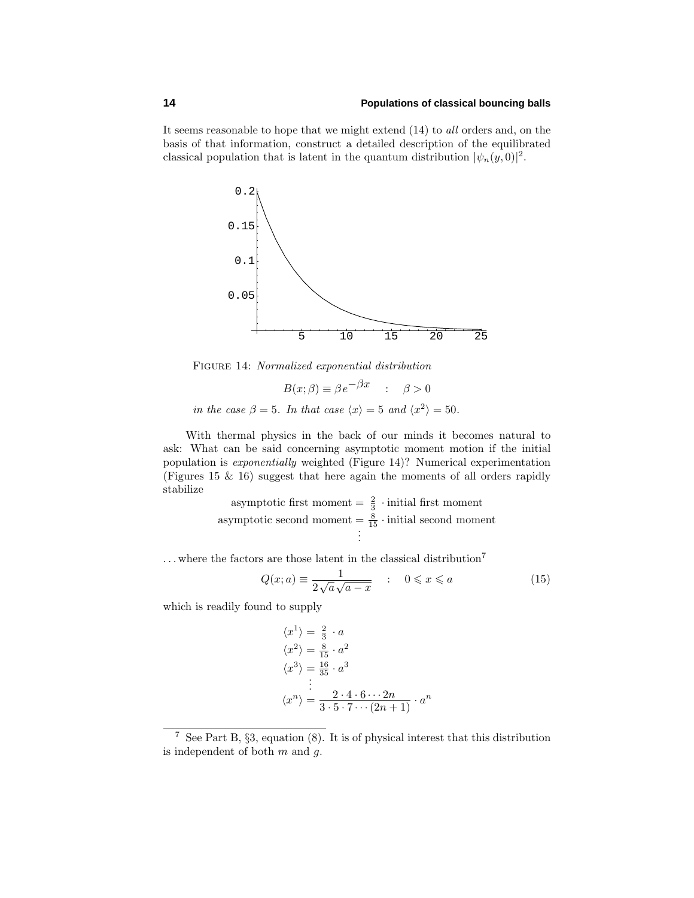It seems reasonable to hope that we might extend (14) to all orders and, on the basis of that information, construct a detailed description of the equilibrated classical population that is latent in the quantum distribution  $|\psi_n(y, 0)|^2$ .



Figure 14: Normalized exponential distribution

$$
B(x; \beta) \equiv \beta e^{-\beta x} : \quad \beta > 0
$$
  
in the case  $\beta = 5$ . In that case  $\langle x \rangle = 5$  and  $\langle x^2 \rangle = 50$ .

With thermal physics in the back of our minds it becomes natural to ask: What can be said concerning asymptotic moment motion if the initial population is exponentially weighted (Figure 14)? Numerical experimentation (Figures 15 & 16) suggest that here again the moments of all orders rapidly stabilize

> asymptotic first moment  $=\frac{2}{3}$  · initial first moment asymptotic second moment  $= \frac{8}{15} \cdot \text{initial second moment}$ <br>:

 $\dots$  where the factors are those latent in the classical distribution<sup>7</sup>

$$
Q(x; a) \equiv \frac{1}{2\sqrt{a}\sqrt{a-x}} \quad : \quad 0 \leqslant x \leqslant a \tag{15}
$$

which is readily found to supply

$$
\langle x^1 \rangle = \frac{2}{3} \cdot a
$$
  
\n
$$
\langle x^2 \rangle = \frac{8}{15} \cdot a^2
$$
  
\n
$$
\langle x^3 \rangle = \frac{16}{35} \cdot a^3
$$
  
\n
$$
\vdots
$$
  
\n
$$
\langle x^n \rangle = \frac{2 \cdot 4 \cdot 6 \cdots 2n}{3 \cdot 5 \cdot 7 \cdots (2n+1)} \cdot a^n
$$

<sup>&</sup>lt;sup>7</sup> See Part B,  $\S3$ , equation (8). It is of physical interest that this distribution is independent of both *m* and *g*.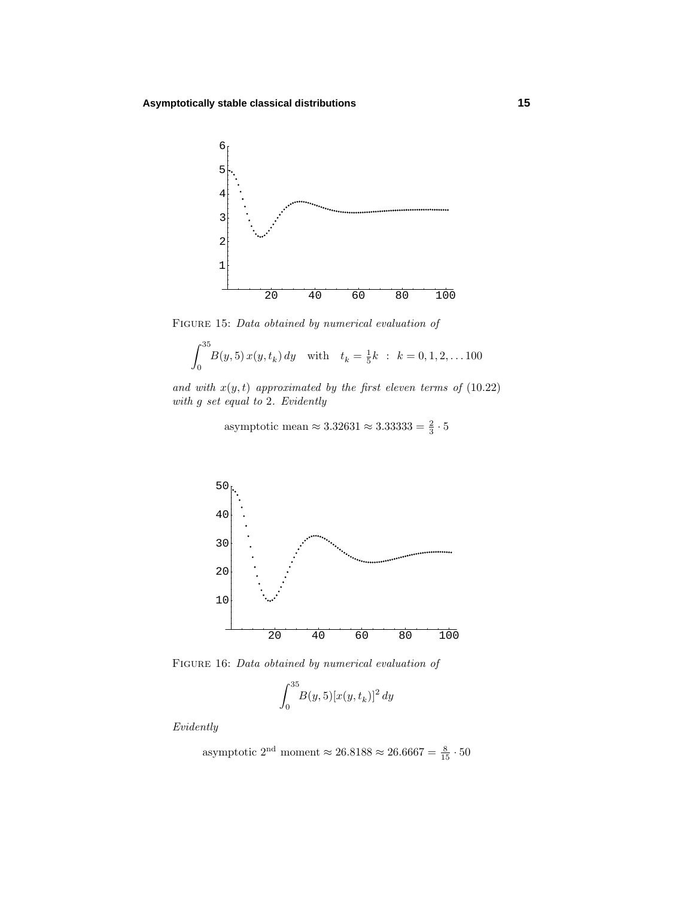

FIGURE 15: Data obtained by numerical evaluation of

$$
\int_0^{35} B(y,5) x(y, t_k) dy \quad \text{with} \quad t_k = \frac{1}{5}k \; : \; k = 0, 1, 2, \dots 100
$$

and with  $x(y, t)$  approximated by the first eleven terms of  $(10.22)$ with *g* set equal to 2. Evidently

asymptotic mean  $\approx 3.32631 \approx 3.33333 = \frac{2}{3} \cdot 5$ 



FIGURE 16: Data obtained by numerical evaluation of

$$
\int_0^{35} B(y,5) [x(y, t_k)]^2 dy
$$

Evidently

asymptotic 2<sup>nd</sup> moment 
$$
\approx 26.8188 \approx 26.6667 = \frac{8}{15} \cdot 50
$$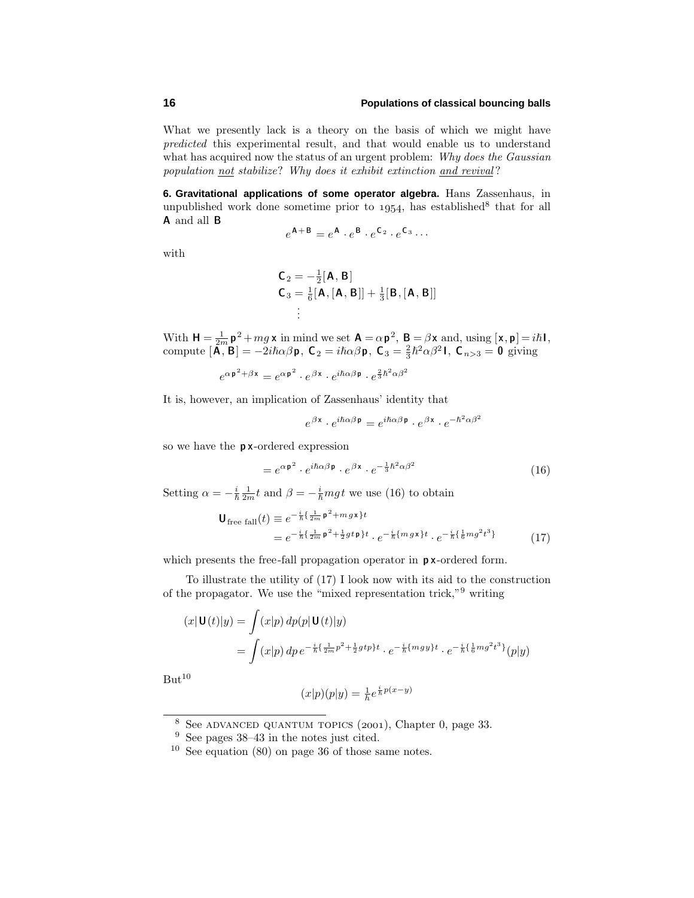What we presently lack is a theory on the basis of which we might have predicted this experimental result, and that would enable us to understand what has acquired now the status of an urgent problem: Why does the Gaussian population not stabilize? Why does it exhibit extinction and revival ?

**6. Gravitational applications of some operator algebra.** Hans Zassenhaus, in unpublished work done sometime prior to  $1954$ , has established<sup>8</sup> that for all **A** and all **B**

$$
e^{\mathbf{A} + \mathbf{B}} = e^{\mathbf{A}} \cdot e^{\mathbf{B}} \cdot e^{\mathbf{C}_2} \cdot e^{\mathbf{C}_3} \cdots
$$

with

$$
C_2 = -\frac{1}{2}[A, B]
$$
  
\n
$$
C_3 = \frac{1}{6}[A, [A, B]] + \frac{1}{3}[B, [A, B]]
$$
  
\n
$$
\vdots
$$

With  $H = \frac{1}{2m} p^2 + mg \times$  in mind we set  $A = \alpha p^2$ ,  $B = \beta x$  and, using  $[x, p] = i\hbar$ , compute  $[\mathbf{\overline{A}}, \mathbf{\overline{B}}] = -2i\hbar\alpha\beta\mathbf{p}$ ,  $\mathbf{C}_2 = i\hbar\alpha\beta\mathbf{p}$ ,  $\mathbf{C}_3 = \frac{2}{3}\hbar^2\alpha\beta^2\mathbf{I}$ ,  $\mathbf{C}_{n>3} = \mathbf{0}$  giving

$$
e^{\alpha \mathbf{p}^2 + \beta \mathbf{x}} = e^{\alpha \mathbf{p}^2} \cdot e^{\beta \mathbf{x}} \cdot e^{i\hbar \alpha \beta \mathbf{p}} \cdot e^{\frac{2}{3}\hbar^2 \alpha \beta^2}
$$

It is, however, an implication of Zassenhaus' identity that

$$
e^{\beta \mathbf{x}} \cdot e^{i\hbar \alpha \beta \mathbf{p}} = e^{i\hbar \alpha \beta \mathbf{p}} \cdot e^{\beta \mathbf{x}} \cdot e^{-\hbar^2 \alpha \beta^2}
$$

so we have the **p x**-ordered expression

$$
=e^{\alpha \mathbf{p}^{2}} \cdot e^{i\hbar \alpha \beta \mathbf{p}} \cdot e^{\beta \mathbf{x}} \cdot e^{-\frac{1}{3}\hbar^{2} \alpha \beta^{2}}
$$
\n(16)

Setting  $\alpha = -\frac{i}{\hbar} \frac{1}{2m} t$  and  $\beta = -\frac{i}{\hbar} mgt$  we use (16) to obtain

$$
\mathbf{U}_{\text{free fall}}(t) \equiv e^{-\frac{i}{\hbar} \left\{ \frac{1}{2m} \mathbf{p}^2 + m g \mathbf{x} \right\} t} = e^{-\frac{i}{\hbar} \left\{ \frac{1}{2m} \mathbf{p}^2 + \frac{1}{2} g t \mathbf{p} \right\} t} \cdot e^{-\frac{i}{\hbar} \left\{ m g \mathbf{x} \right\} t} \cdot e^{-\frac{i}{\hbar} \left\{ \frac{1}{6} m g^2 t^3 \right\}} \tag{17}
$$

which presents the free-fall propagation operator in **p x**-ordered form.

To illustrate the utility of (17) I look now with its aid to the construction of the propagator. We use the "mixed representation trick,"<sup>9</sup> writing

$$
(x|\mathbf{U}(t)|y) = \int (x|p) dp(p|\mathbf{U}(t)|y)
$$
  
= 
$$
\int (x|p) dp e^{-\frac{i}{\hbar} \{\frac{1}{2m}p^2 + \frac{1}{2}gtp\}t} \cdot e^{-\frac{i}{\hbar} \{mgy\}t} \cdot e^{-\frac{i}{\hbar} \{\frac{1}{6}mg^2t^3\}}(p|y)
$$

 $But<sup>10</sup>$ 

$$
(x|p)(p|y) = \frac{1}{h}e^{\frac{i}{h}p(x-y)}
$$

 $\overline{\text{8}$  See ADVANCED QUANTUM TOPICS (2001), Chapter 0, page 33.

<sup>9</sup> See pages 38–43 in the notes just cited.

<sup>10</sup> See equation (80) on page 36 of those same notes.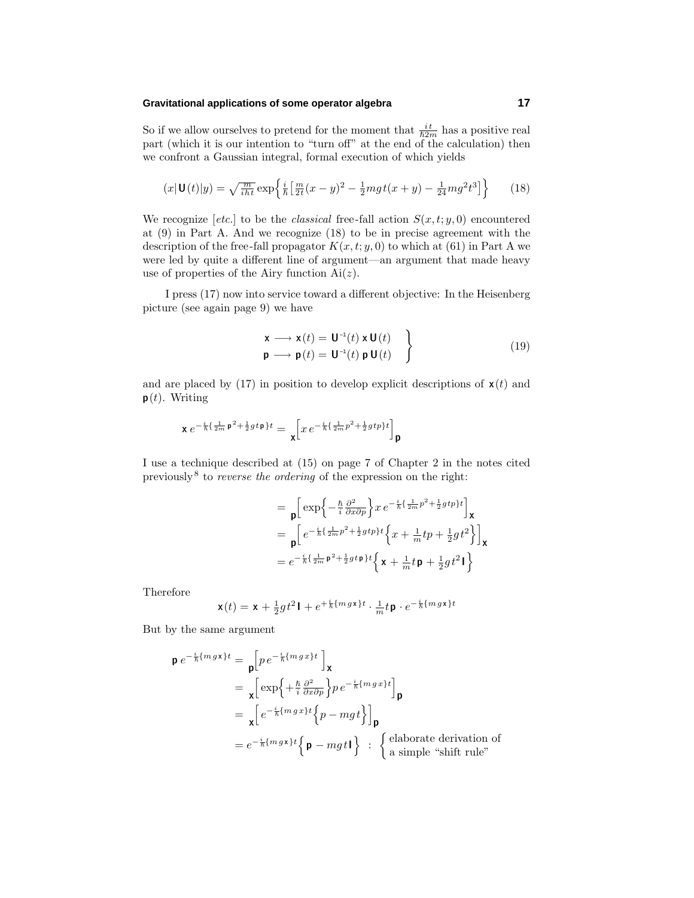#### **Gravitational applications of some operator algebra 17**

So if we allow ourselves to pretend for the moment that  $\frac{it}{\hbar 2m}$  has a positive real part (which it is our intention to "turn off" at the end of the calculation) then we confront a Gaussian integral, formal execution of which yields

$$
(x|\mathbf{U}(t)|y) = \sqrt{\frac{m}{iht}} \exp\left\{\frac{i}{\hbar} \left[\frac{m}{2t}(x-y)^2 - \frac{1}{2}mgt(x+y) - \frac{1}{24}mg^2t^3\right]\right\} \tag{18}
$$

We recognize  $[etc.]$  to be the *classical* free-fall action  $S(x, t; y, 0)$  encountered at (9) in Part A. And we recognize (18) to be in precise agreement with the description of the free-fall propagator  $K(x, t; y, 0)$  to which at (61) in Part A we were led by quite a different line of argument—an argument that made heavy use of properties of the Airy function Ai(*z*).

I press (17) now into service toward a different objective: In the Heisenberg picture (see again page 9) we have

$$
\begin{array}{l}\n\mathbf{x} \longrightarrow \mathbf{x}(t) = \mathbf{U}^{-1}(t) \times \mathbf{U}(t) \\
\mathbf{p} \longrightarrow \mathbf{p}(t) = \mathbf{U}^{-1}(t) \mathbf{p} \mathbf{U}(t)\n\end{array}
$$
\n(19)

and are placed by (17) in position to develop explicit descriptions of  $\mathbf{x}(t)$  and **p**(*t*). Writing

$$
\mathbf{x} e^{-\frac{i}{\hbar}\{\frac{1}{2m}\mathbf{p}^2 + \frac{1}{2}gt\mathbf{p}\}t} = \mathbf{x} \left[ x e^{-\frac{i}{\hbar}\{\frac{1}{2m}p^2 + \frac{1}{2}gtp\}t} \right] \mathbf{p}
$$

I use a technique described at (15) on page 7 of Chapter 2 in the notes cited previously<sup>8</sup> to *reverse the ordering* of the expression on the right:

$$
= \mathbf{p} \left[ \exp \left\{ -\frac{\hbar}{i} \frac{\partial^2}{\partial x \partial p} \right\} x e^{-\frac{i}{\hbar} \left\{ \frac{1}{2m} p^2 + \frac{1}{2} g t p \right\} t} \right] \mathbf{x}
$$
  
\n
$$
= \mathbf{p} \left[ e^{-\frac{i}{\hbar} \left\{ \frac{1}{2m} p^2 + \frac{1}{2} g t p \right\} t} \left\{ x + \frac{1}{m} t p + \frac{1}{2} g t^2 \right\} \right] \mathbf{x}
$$
  
\n
$$
= e^{-\frac{i}{\hbar} \left\{ \frac{1}{2m} \mathbf{p}^2 + \frac{1}{2} g t \mathbf{p} \right\} t} \left\{ \mathbf{x} + \frac{1}{m} t \mathbf{p} + \frac{1}{2} g t^2 \mathbf{I} \right\}
$$

Therefore

$$
\mathbf{x}(t) = \mathbf{x} + \tfrac{1}{2}gt^2\mathbf{I} + e^{+\frac{i}{\hbar}\{m\,g\mathbf{x}\}t} \cdot \tfrac{1}{m}t\,\mathbf{p}\cdot e^{-\frac{i}{\hbar}\{m\,g\mathbf{x}\}t}
$$

But by the same argument

$$
\mathbf{p} e^{-\frac{i}{\hbar} \{m g \mathbf{x}\} t} = \mathbf{p} \Big[ p e^{-\frac{i}{\hbar} \{m g x\} t} \Big]_{\mathbf{X}}
$$
  
\n
$$
= \mathbf{x} \Big[ \exp \Big\{ + \frac{\hbar}{i} \frac{\partial^2}{\partial x \partial p} \Big\} p e^{-\frac{i}{\hbar} \{m g x\} t} \Big]_{\mathbf{p}}
$$
  
\n
$$
= \mathbf{x} \Big[ e^{-\frac{i}{\hbar} \{m g x\} t} \Big\{ p - m g t \Big\} \Big]_{\mathbf{p}}
$$
  
\n
$$
= e^{-\frac{i}{\hbar} \{m g \mathbf{x}\} t} \Big\{ \mathbf{p} - m g t \mathbf{l} \Big\} : \begin{cases} \text{elaborate derivation of} \\ \text{a simple "shift rule" \end{cases}
$$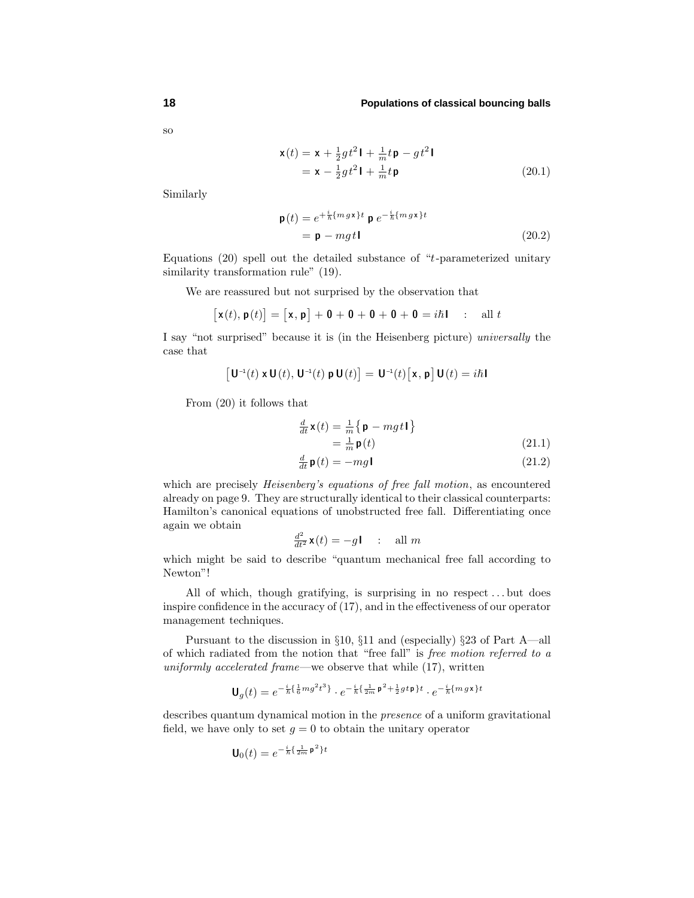so

$$
\mathbf{x}(t) = \mathbf{x} + \frac{1}{2}gt^2\mathbf{l} + \frac{1}{m}t\mathbf{p} - gt^2\mathbf{l}
$$
  
=  $\mathbf{x} - \frac{1}{2}gt^2\mathbf{l} + \frac{1}{m}t\mathbf{p}$  (20.1)

Similarly

$$
\mathbf{p}(t) = e^{+\frac{i}{\hbar}\{mgx\}t} \mathbf{p} e^{-\frac{i}{\hbar}\{mgx\}t}
$$
  
= 
$$
\mathbf{p} - mgt\mathbf{1}
$$
 (20.2)

Equations (20) spell out the detailed substance of "*t*-parameterized unitary similarity transformation rule" (19).

We are reassured but not surprised by the observation that

$$
[\mathbf{x}(t), \mathbf{p}(t)] = [\mathbf{x}, \mathbf{p}] + \mathbf{0} + \mathbf{0} + \mathbf{0} + \mathbf{0} + \mathbf{0} = i\hbar \mathbf{I} \quad : \quad \text{all } t
$$

I say "not surprised" because it is (in the Heisenberg picture) universally the case that

$$
\left[\,\mathbf{U}^{\scriptscriptstyle -1}(t)\,\mathbf{x}\,\mathbf{U}(t),\,\mathbf{U}^{\scriptscriptstyle -1}(t)\,\mathbf{p}\,\mathbf{U}(t)\right]=\,\mathbf{U}^{\scriptscriptstyle -1}(t)\big[\,\mathbf{x}\,,\,\mathbf{p}\,\big]\,\mathbf{U}(t)=i\hbar\,\mathbf{I}
$$

From (20) it follows that

$$
\frac{d}{dt}\mathbf{x}(t) = \frac{1}{m}\left\{\mathbf{p} - mgt\mathbf{I}\right\}
$$

$$
= \frac{1}{m}\mathbf{p}(t)
$$
(21.1)

$$
\frac{d}{dt}\mathbf{p}(t) = -mg\mathbf{I}
$$
\n(21.2)

which are precisely *Heisenberg's equations of free fall motion*, as encountered already on page 9. They are structurally identical to their classical counterparts: Hamilton's canonical equations of unobstructed free fall. Differentiating once again we obtain

$$
\frac{d^2}{dt^2}\mathbf{x}(t) = -g\mathbf{I} \quad : \quad \text{all } m
$$

which might be said to describe "quantum mechanical free fall according to Newton"!

All of which, though gratifying, is surprising in no respect *...* but does inspire confidence in the accuracy of (17), and in the effectiveness of our operator management techniques.

Pursuant to the discussion in §10, §11 and (especially) §23 of Part A—all of which radiated from the notion that "free fall" is free motion referred to a uniformly accelerated frame—we observe that while  $(17)$ , written

$$
\mathbf{U}_g(t) = e^{-\frac{i}{\hbar}\{\frac{1}{6}mg^2t^3\}} \cdot e^{-\frac{i}{\hbar}\{\frac{1}{2m}\mathbf{p}^2 + \frac{1}{2}gt\mathbf{p}\}t} \cdot e^{-\frac{i}{\hbar}\{mgx\}t}
$$

describes quantum dynamical motion in the presence of a uniform gravitational field, we have only to set  $g = 0$  to obtain the unitary operator

$$
\mathbf{U}_0(t) = e^{-\frac{i}{\hbar}\left\{\frac{1}{2m}\mathbf{p}^2\right\}t}
$$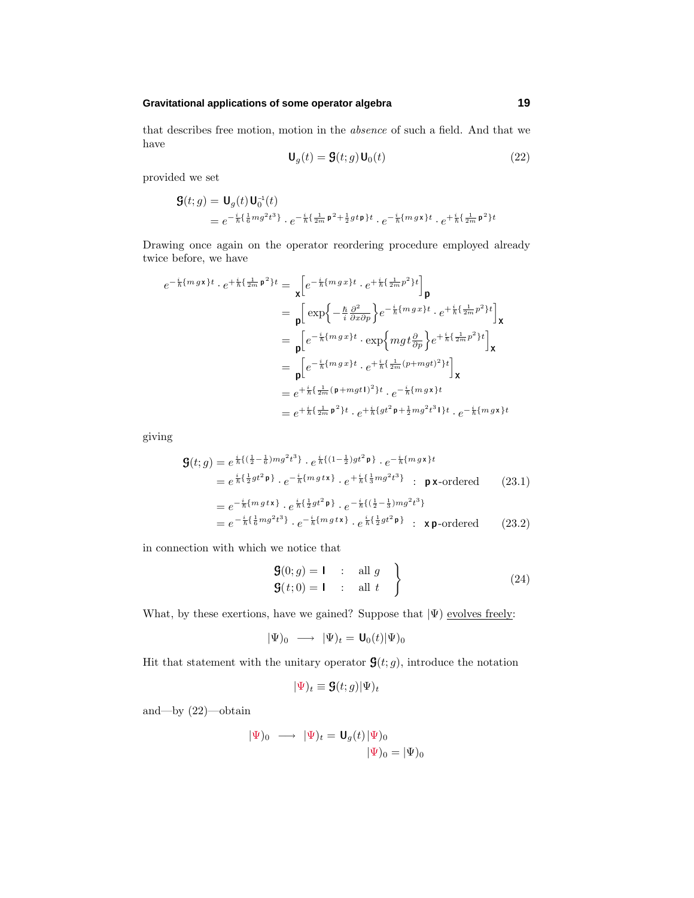## **Gravitational applications of some operator algebra 19**

that describes free motion, motion in the absence of such a field. And that we have

$$
\mathbf{U}_g(t) = \mathbf{G}(t; g) \mathbf{U}_0(t) \tag{22}
$$

provided we set

$$
\begin{aligned} \mathbf{S}(t; g) &= \mathbf{U}_g(t) \mathbf{U}_0^{-1}(t) \\ &= e^{-\frac{i}{\hbar} \left\{ \frac{1}{6} m g^2 t^3 \right\}} \cdot e^{-\frac{i}{\hbar} \left\{ \frac{1}{2m} \mathbf{p}^2 + \frac{1}{2} g t \mathbf{p} \right\} t} \cdot e^{-\frac{i}{\hbar} \left\{ m g \mathbf{x} \right\} t} \cdot e^{+\frac{i}{\hbar} \left\{ \frac{1}{2m} \mathbf{p}^2 \right\} t} \end{aligned}
$$

Drawing once again on the operator reordering procedure employed already twice before, we have

$$
e^{-\frac{i}{\hbar}\{mgx\}t} \cdot e^{+\frac{i}{\hbar}\{\frac{1}{2m}\mathbf{p}^{2}\}t} = \mathbf{x} \Big[ e^{-\frac{i}{\hbar}\{mgx\}t} \cdot e^{+\frac{i}{\hbar}\{\frac{1}{2m}p^{2}\}t} \Big] \mathbf{p}
$$
  
\n
$$
= \mathbf{p} \Big[ \exp\Big\{-\frac{\hbar}{i}\frac{\partial^{2}}{\partial x \partial p} \Big\} e^{-\frac{i}{\hbar}\{mgx\}t} \cdot e^{+\frac{i}{\hbar}\{\frac{1}{2m}p^{2}\}t} \Big] \mathbf{x}
$$
  
\n
$$
= \mathbf{p} \Big[ e^{-\frac{i}{\hbar}\{mgx\}t} \cdot \exp\Big\{mgt\frac{\partial}{\partial p} \Big\} e^{+\frac{i}{\hbar}\{\frac{1}{2m}p^{2}\}t} \Big] \mathbf{x}
$$
  
\n
$$
= \mathbf{p} \Big[ e^{-\frac{i}{\hbar}\{mgx\}t} \cdot e^{+\frac{i}{\hbar}\{\frac{1}{2m}(p+mgt)^{2}\}t} \Big] \mathbf{x}
$$
  
\n
$$
= e^{+\frac{i}{\hbar}\{\frac{1}{2m}(\mathbf{p}+mgt)^{2}\}t} \cdot e^{-\frac{i}{\hbar}\{mgx\}t}
$$
  
\n
$$
= e^{+\frac{i}{\hbar}\{\frac{1}{2m}\mathbf{p}^{2}\}t} \cdot e^{+\frac{i}{\hbar}\{gt^{2}} + \frac{i}{2m}\{gt^{2}t^{3}\}t} \cdot e^{-\frac{i}{\hbar}\{mgx\}t}
$$

giving

$$
\mathbf{G}(t; g) = e^{\frac{i}{\hbar} \left( (\frac{1}{2} - \frac{1}{6}) m g^2 t^3 \right)} \cdot e^{\frac{i}{\hbar} \left( (1 - \frac{1}{2}) g t^2 \mathbf{p} \right)} \cdot e^{-\frac{i}{\hbar} \{ m g \mathbf{x} \} t}
$$
\n
$$
= e^{\frac{i}{\hbar} \left( \frac{1}{2} g t^2 \mathbf{p} \right)} \cdot e^{-\frac{i}{\hbar} \left( m g t \mathbf{x} \right)} \cdot e^{+\frac{i}{\hbar} \left( \frac{1}{3} m g^2 t^3 \right)} \quad \text{p x-ordered} \tag{23.1}
$$
\n
$$
= e^{-\frac{i}{\hbar} \left( m g t \mathbf{x} \right)} \cdot e^{\frac{i}{\hbar} \left( \frac{1}{2} g t^2 \mathbf{p} \right)} \cdot e^{-\frac{i}{\hbar} \left( (\frac{1}{2} - \frac{1}{3}) m g^2 t^3 \right)}
$$
\n
$$
= e^{-\frac{i}{\hbar} \left( \frac{1}{6} m g^2 t^3 \right)} \cdot e^{-\frac{i}{\hbar} \left( m g t \mathbf{x} \right)} \cdot e^{\frac{i}{\hbar} \left( \frac{1}{2} g t^2 \mathbf{p} \right)} \quad \text{x p-ordered} \tag{23.2}
$$

in connection with which we notice that

$$
\begin{aligned}\n\mathbf{G}(0; g) &= \mathbf{I} \quad \text{if} \quad g \\
\mathbf{G}(t; 0) &= \mathbf{I} \quad \text{if} \quad d \mathbf{I} \quad \text{if} \quad f\n\end{aligned}
$$
\n(24)

What, by these exertions, have we gained? Suppose that  $|\Psi\rangle$  evolves freely:

$$
|\Psi)_0 \longrightarrow |\Psi)_t = \mathbf{U}_0(t) |\Psi|_0
$$

Hit that statement with the unitary operator  $\mathbf{G}(t; g)$ , introduce the notation

$$
|\Psi)_t \equiv \mathbf{G}(t;g)|\Psi)_t
$$

and—by (22)—obtain

$$
|\Psi)_0 \longrightarrow |\Psi)_t = \mathbf{U}_g(t) |\Psi)_0
$$

$$
|\Psi)_0 = |\Psi)_0
$$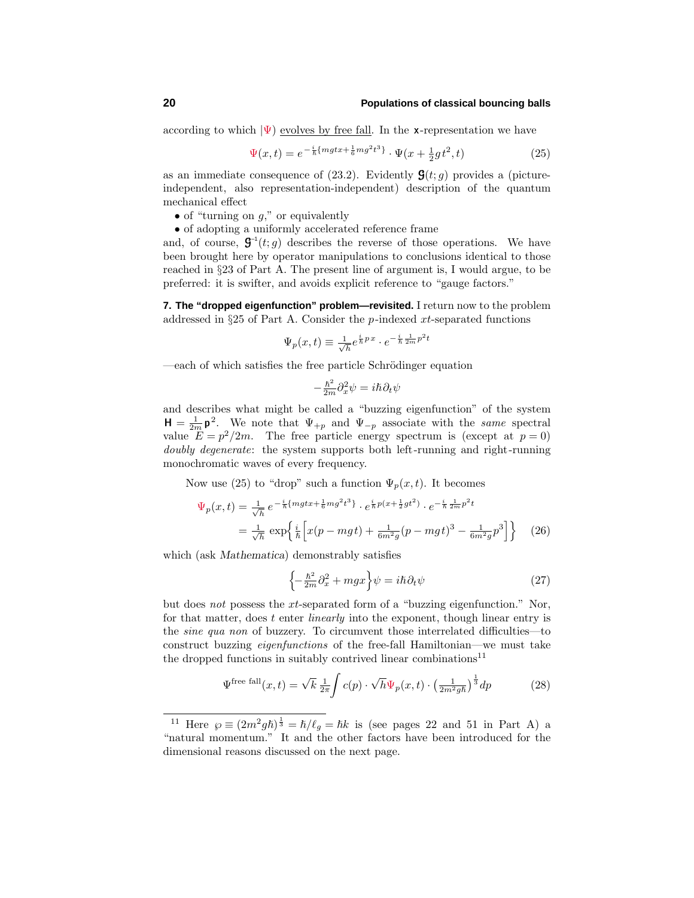according to which  $|\Psi\rangle$  evolves by free fall. In the **x**-representation we have

$$
\Psi(x,t) = e^{-\frac{i}{\hbar}\{mgtx + \frac{1}{6}mg^2t^3\}} \cdot \Psi(x + \frac{1}{2}gt^2, t)
$$
\n(25)

as an immediate consequence of  $(23.2)$ . Evidently  $\mathbf{G}(t;g)$  provides a (pictureindependent, also representation-independent) description of the quantum mechanical effect

- of "turning on *g*," or equivalently
- of adopting a uniformly accelerated reference frame

and, of course,  $\mathbf{G}^{-1}(t;g)$  describes the reverse of those operations. We have been brought here by operator manipulations to conclusions identical to those reached in §23 of Part A. The present line of argument is, I would argue, to be preferred: it is swifter, and avoids explicit reference to "gauge factors."

**7. The "dropped eigenfunction" problem—revisited.** I return now to the problem addressed in §25 of Part A. Consider the *p*-indexed *xt*-separated functions

$$
\Psi_p(x,t) \equiv \frac{1}{\sqrt{h}} e^{\frac{i}{\hbar}px} \cdot e^{-\frac{i}{\hbar}\frac{1}{2m}p^2t}
$$

—each of which satisfies the free particle Schrödinger equation

$$
-\frac{\hbar^2}{2m}\partial_x^2\psi = i\hbar\partial_t\psi
$$

and describes what might be called a "buzzing eigenfunction" of the system  $H = \frac{1}{2m} p^2$ . We note that  $\Psi_{+p}$  and  $\Psi_{-p}$  associate with the *same* spectral value  $E = p^2/2m$ . The free particle energy spectrum is (except at  $p = 0$ ) doubly degenerate: the system supports both left-running and right-running monochromatic waves of every frequency.

Now use (25) to "drop" such a function  $\Psi_p(x, t)$ . It becomes

$$
\Psi_p(x,t) = \frac{1}{\sqrt{h}} e^{-\frac{i}{\hbar} \{ mgt x + \frac{1}{6} m g^2 t^3 \}} \cdot e^{\frac{i}{\hbar} p(x + \frac{1}{2} gt^2)} \cdot e^{-\frac{i}{\hbar} \frac{1}{2m} p^2 t}
$$
\n
$$
= \frac{1}{\sqrt{h}} \exp\left\{ \frac{i}{\hbar} \left[ x(p - mgt) + \frac{1}{6m^2 g} (p - mgt)^3 - \frac{1}{6m^2 g} p^3 \right] \right\} \tag{26}
$$

which (ask *Mathematica*) demonstrably satisfies

$$
\left\{-\frac{\hbar^2}{2m}\partial_x^2 + mgx\right\}\psi = i\hbar\partial_t\psi\tag{27}
$$

but does not possess the *xt*-separated form of a "buzzing eigenfunction." Nor, for that matter, does *t* enter linearly into the exponent, though linear entry is the sine qua non of buzzery. To circumvent those interrelated difficulties—to construct buzzing eigenfunctions of the free-fall Hamiltonian—we must take the dropped functions in suitably contrived linear combinations<sup>11</sup>

$$
\Psi^{\text{free fall}}(x,t) = \sqrt{k} \frac{1}{2\pi} \int c(p) \cdot \sqrt{h} \Psi_p(x,t) \cdot \left(\frac{1}{2m^2gh}\right)^{\frac{1}{3}} dp \tag{28}
$$

<sup>&</sup>lt;sup>11</sup> Here  $\varphi \equiv (2m^2gh)^{\frac{1}{3}} = \hbar/\ell_g = \hbar k$  is (see pages 22 and 51 in Part A) a "natural momentum." It and the other factors have been introduced for the dimensional reasons discussed on the next page.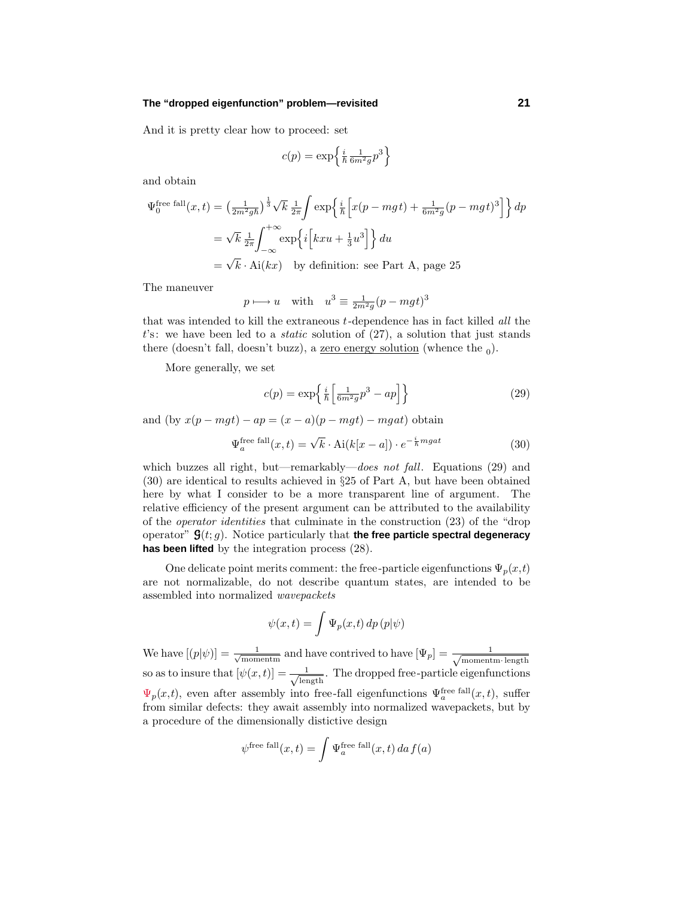#### **The "dropped eigenfunction" problem—revisited 21**

And it is pretty clear how to proceed: set

$$
c(p) = \exp\left\{\frac{i}{\hbar} \frac{1}{6m^2 g} p^3\right\}
$$

and obtain

$$
\Psi_0^{\text{free fall}}(x,t) = \left(\frac{1}{2m^2gh}\right)^{\frac{1}{3}} \sqrt{k} \frac{1}{2\pi} \int \exp\left\{\frac{i}{\hbar} \left[x(p-mgt) + \frac{1}{6m^2g}(p-mgt)^3\right]\right\} dp
$$

$$
= \sqrt{k} \frac{1}{2\pi} \int_{-\infty}^{+\infty} \exp\left\{i \left[kxu + \frac{1}{3}u^3\right]\right\} du
$$

$$
= \sqrt{k} \cdot \text{Ai}(kx) \quad \text{by definition: see Part A, page 25}
$$

The maneuver

$$
p \longmapsto u
$$
 with  $u^3 \equiv \frac{1}{2m^2g}(p - mgt)^3$ 

that was intended to kill the extraneous *t*-dependence has in fact killed all the *t*'s: we have been led to a static solution of (27), a solution that just stands there (doesn't fall, doesn't buzz), a <u>zero energy solution</u> (whence the  $_0$ ).

More generally, we set

$$
c(p) = \exp\left\{\frac{i}{\hbar} \left[ \frac{1}{6m^2 g} p^3 - ap \right] \right\} \tag{29}
$$

and  $(by x(p-mgt) - ap = (x-a)(p-mgt) - mgat)$  obtain

$$
\Psi_a^{\text{free fall}}(x,t) = \sqrt{k} \cdot \text{Ai}(k[x-a]) \cdot e^{-\frac{i}{\hbar}mgat} \tag{30}
$$

which buzzes all right, but—remarkably—does not fall. Equations (29) and (30) are identical to results achieved in §25 of Part A, but have been obtained here by what I consider to be a more transparent line of argument. The relative efficiency of the present argument can be attributed to the availability of the operator identities that culminate in the construction (23) of the "drop operator" G(*t*; *g*). Notice particularly that **the free particle spectral degeneracy has been lifted** by the integration process (28).

One delicate point merits comment: the free-particle eigenfunctions  $\Psi_p(x,t)$ are not normalizable, do not describe quantum states, are intended to be assembled into normalized wavepackets

$$
\psi(x,t) = \int \Psi_p(x,t) \, dp \, (p|\psi)
$$

We have  $[(p|\psi)] = \frac{1}{\sqrt{\text{momentm}}}$  and have contrived to have  $[\Psi_p] = \frac{1}{\sqrt{\text{moment}}}$ momentm·length so as to insure that  $[\psi(x,t)] = \frac{1}{\sqrt{\text{length}}}$ . The dropped free-particle eigenfunctions  $\Psi_p(x,t)$ , even after assembly into free-fall eigenfunctions  $\Psi_a^{\text{free fall}}(x,t)$ , suffer from similar defects: they await assembly into normalized wavepackets, but by a procedure of the dimensionally distictive design

$$
\psi^{\text{free fall}}(x,t) = \int \Psi_a^{\text{free fall}}(x,t) \, da \, f(a)
$$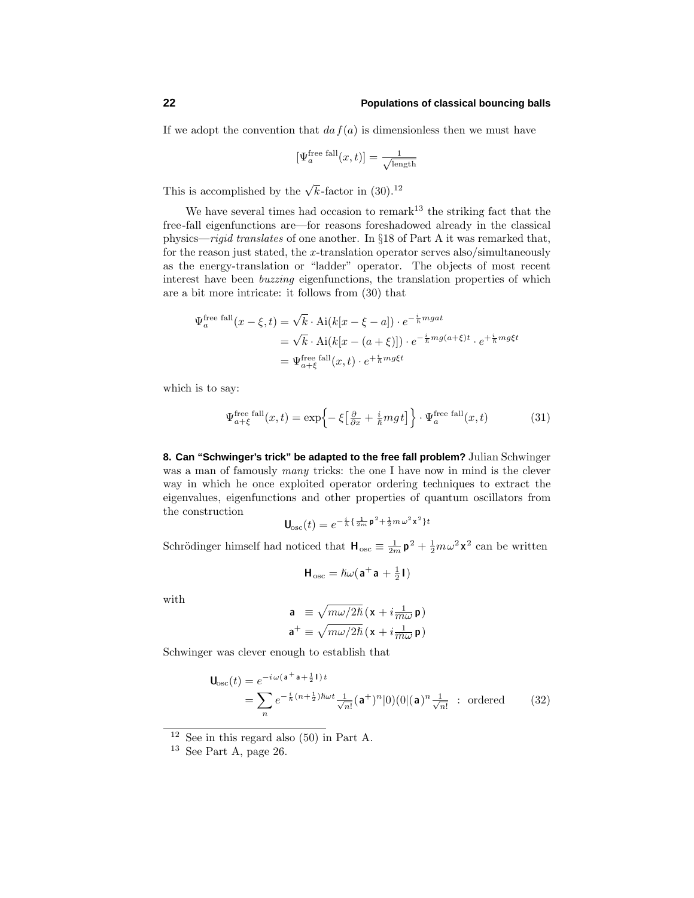If we adopt the convention that  $da f(a)$  is dimensionless then we must have

$$
[\Psi_a^{\rm free\ fall}(x,t)]=\tfrac{1}{\sqrt{\text{length}}}
$$

This is accomplished by the  $\sqrt{k}$ -factor in (30).<sup>12</sup>

We have several times had occasion to remark<sup>13</sup> the striking fact that the free-fall eigenfunctions are—for reasons foreshadowed already in the classical physics—rigid translates of one another. In §18 of Part A it was remarked that, for the reason just stated, the *x*-translation operator serves also/simultaneously as the energy-translation or "ladder" operator. The objects of most recent interest have been buzzing eigenfunctions, the translation properties of which are a bit more intricate: it follows from (30) that

$$
\Psi_a^{\text{free fall}}(x - \xi, t) = \sqrt{k} \cdot \text{Ai}(k[x - \xi - a]) \cdot e^{-\frac{i}{\hbar}mgat}
$$

$$
= \sqrt{k} \cdot \text{Ai}(k[x - (a + \xi)]) \cdot e^{-\frac{i}{\hbar}mg(a + \xi)t} \cdot e^{+\frac{i}{\hbar}mg\xi t}
$$

$$
= \Psi_{a + \xi}^{\text{free fall}}(x, t) \cdot e^{+\frac{i}{\hbar}mg\xi t}
$$

which is to say:

$$
\Psi_{a+\xi}^{\text{free fall}}(x,t) = \exp\left\{-\xi\left[\frac{\partial}{\partial x} + \frac{i}{\hbar}mgt\right]\right\} \cdot \Psi_a^{\text{free fall}}(x,t) \tag{31}
$$

**8. Can "Schwinger's trick" be adapted to the free fall problem?** Julian Schwinger was a man of famously *many* tricks: the one I have now in mind is the clever way in which he once exploited operator ordering techniques to extract the eigenvalues, eigenfunctions and other properties of quantum oscillators from the construction

$$
\mathbf{U}_{\rm osc}(t) = e^{-\frac{i}{\hbar}\left\{\frac{1}{2m}\mathbf{p}^2 + \frac{1}{2}m\omega^2\mathbf{x}^2\right\}t}
$$

Schrödinger himself had noticed that  $H_{osc} \equiv \frac{1}{2m} p^2 + \frac{1}{2} m \omega^2 x^2$  can be written

$$
\mathbf{H}_{\rm osc} = \hslash \omega (\mathbf{a}^+ \mathbf{a} + \tfrac{1}{2} \mathbf{I})
$$

with

$$
\mathbf{a} \equiv \sqrt{m\omega/2\hbar} \left( \mathbf{x} + i \frac{1}{m\omega} \mathbf{p} \right)
$$

$$
\mathbf{a}^+ \equiv \sqrt{m\omega/2\hbar} \left( \mathbf{x} + i \frac{1}{m\omega} \mathbf{p} \right)
$$

Schwinger was clever enough to establish that

$$
\mathbf{U}_{\text{osc}}(t) = e^{-i\omega(\mathbf{a}^+\mathbf{a}+\frac{1}{2}\mathbf{I})t}
$$
  
= 
$$
\sum_{n} e^{-\frac{i}{\hbar}(n+\frac{1}{2})\hbar\omega t} \frac{1}{\sqrt{n!}} (\mathbf{a}^+)^n |0\rangle (0|(\mathbf{a})^n \frac{1}{\sqrt{n!}} \text{ : ordered } (32)
$$

 $12$  See in this regard also (50) in Part A.

 $13$  See Part A, page 26.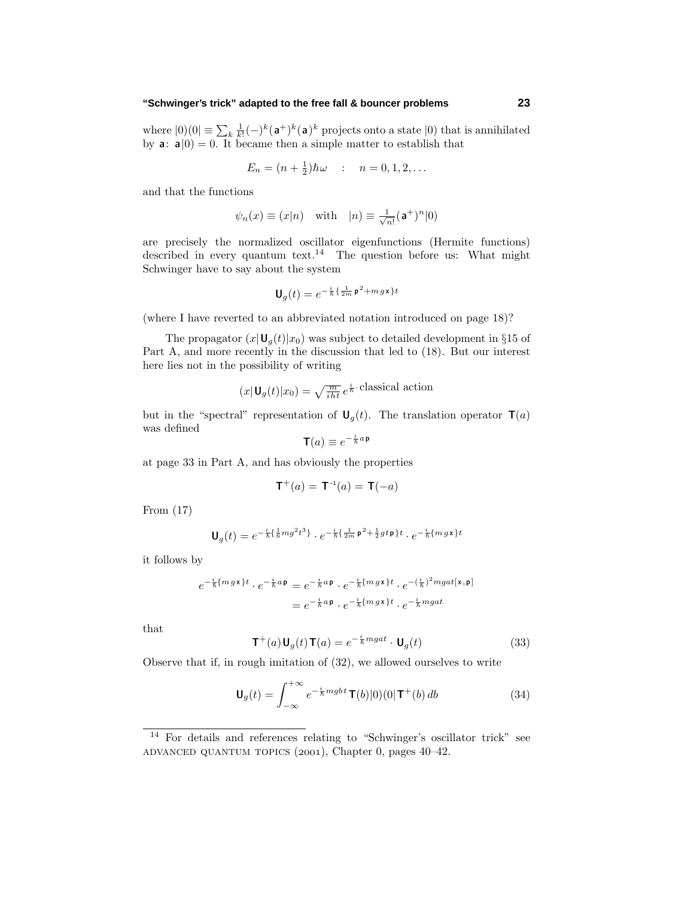#### **"Schwinger's trick" adapted to the free fall & bouncer problems 23**

where  $|0\rangle\langle 0| \equiv \sum_{k} \frac{1}{k!} (-)^k (\mathbf{a}^+)^k (\mathbf{a})^k$  projects onto a state  $|0\rangle$  that is annihilated by **a**:  $\mathbf{a}|0\rangle = 0$ . It became then a simple matter to establish that

$$
E_n = (n + \frac{1}{2})\hbar\omega
$$
 :  $n = 0, 1, 2, ...$ 

and that the functions

$$
\psi_n(x) \equiv (x|n)
$$
 with  $|n) \equiv \frac{1}{\sqrt{n!}} (\mathbf{a}^+)^n |0)$ 

are precisely the normalized oscillator eigenfunctions (Hermite functions) described in every quantum text.<sup>14</sup> The question before us: What might Schwinger have to say about the system

$$
\mathbf{U}_g(t) = e^{-\frac{i}{\hbar}\left\{\frac{1}{2m}\mathbf{p}^2 + m\,g\,\mathbf{x}\right\}t}
$$

(where I have reverted to an abbreviated notation introduced on page 18)?

The propagator  $(x|\mathbf{U}_g(t)|x_0)$  was subject to detailed development in §15 of Part A, and more recently in the discussion that led to (18). But our interest here lies not in the possibility of writing

$$
(x|\mathbf{U}_g(t)|x_0) = \sqrt{\frac{m}{iht}} e^{\frac{i}{\hbar} \cdot \text{classical action}}
$$

but in the "spectral" representation of  $U_q(t)$ . The translation operator  $T(a)$ was defined

$$
\mathbf{T}(a) \equiv e^{-\frac{i}{\hbar}a\,\mathbf{p}}
$$

at page 33 in Part A, and has obviously the properties

$$
\mathbf{T}^+(a) = \mathbf{T}^{-1}(a) = \mathbf{T}(-a)
$$

From (17)

$$
\mathbf{U}_g(t) = e^{-\frac{i}{\hbar}\left\{\frac{1}{6}mg^2t^3\right\}} \cdot e^{-\frac{i}{\hbar}\left\{\frac{1}{2m}\mathbf{p}^2 + \frac{1}{2}gt\mathbf{p}\right\}t} \cdot e^{-\frac{i}{\hbar}\left\{mgx\right\}t}
$$

it follows by

$$
e^{-\frac{i}{\hbar}\{m\,g\,\mathbf{x}\}t} \cdot e^{-\frac{i}{\hbar}a\,\mathbf{p}} = e^{-\frac{i}{\hbar}a\,\mathbf{p}} \cdot e^{-\frac{i}{\hbar}\{m\,g\,\mathbf{x}\}t} \cdot e^{-(\frac{i}{\hbar})^2 m g a t[\mathbf{x}, \mathbf{p}]} = e^{-\frac{i}{\hbar}a\,\mathbf{p}} \cdot e^{-\frac{i}{\hbar}\{m\,g\,\mathbf{x}\}t} \cdot e^{-\frac{i}{\hbar}m g a t}
$$

that

$$
\mathbf{T}^{+}(a)\mathbf{U}_{g}(t)\mathbf{T}(a) = e^{-\frac{i}{\hbar}mgat} \cdot \mathbf{U}_{g}(t)
$$
\n(33)

Observe that if, in rough imitation of (32), we allowed ourselves to write

$$
\mathbf{U}_g(t) = \int_{-\infty}^{+\infty} e^{-\frac{i}{\hbar} m g b t} \mathbf{T}(b)|0\rangle(0|\mathbf{T}^+(b)) db \tag{34}
$$

<sup>14</sup> For details and references relating to "Schwinger's oscillator trick" see ADVANCED QUANTUM TOPICS  $(2001)$ , Chapter 0, pages  $40-42$ .